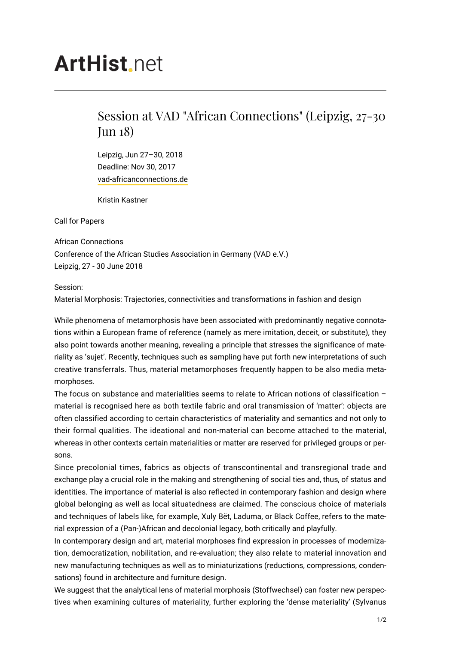# **ArtHist** net

## Session at VAD "African Connections" (Leipzig, 27-30 Jun 18)

Leipzig, Jun 27–30, 2018 Deadline: Nov 30, 2017 [vad-africanconnections.de](https://vad-africanconnections.de/)

Kristin Kastner

Call for Papers

African Connections Conference of the African Studies Association in Germany (VAD e.V.) Leipzig, 27 - 30 June 2018

#### Session:

Material Morphosis: Trajectories, connectivities and transformations in fashion and design

While phenomena of metamorphosis have been associated with predominantly negative connotations within a European frame of reference (namely as mere imitation, deceit, or substitute), they also point towards another meaning, revealing a principle that stresses the significance of materiality as 'sujet'. Recently, techniques such as sampling have put forth new interpretations of such creative transferrals. Thus, material metamorphoses frequently happen to be also media metamorphoses.

The focus on substance and materialities seems to relate to African notions of classification – material is recognised here as both textile fabric and oral transmission of 'matter': objects are often classified according to certain characteristics of materiality and semantics and not only to their formal qualities. The ideational and non-material can become attached to the material, whereas in other contexts certain materialities or matter are reserved for privileged groups or persons.

Since precolonial times, fabrics as objects of transcontinental and transregional trade and exchange play a crucial role in the making and strengthening of social ties and, thus, of status and identities. The importance of material is also reflected in contemporary fashion and design where global belonging as well as local situatedness are claimed. The conscious choice of materials and techniques of labels like, for example, Xuly Bët, Laduma, or Black Coffee, refers to the material expression of a (Pan-)African and decolonial legacy, both critically and playfully.

In contemporary design and art, material morphoses find expression in processes of modernization, democratization, nobilitation, and re-evaluation; they also relate to material innovation and new manufacturing techniques as well as to miniaturizations (reductions, compressions, condensations) found in architecture and furniture design.

We suggest that the analytical lens of material morphosis (Stoffwechsel) can foster new perspectives when examining cultures of materiality, further exploring the 'dense materiality' (Sylvanus